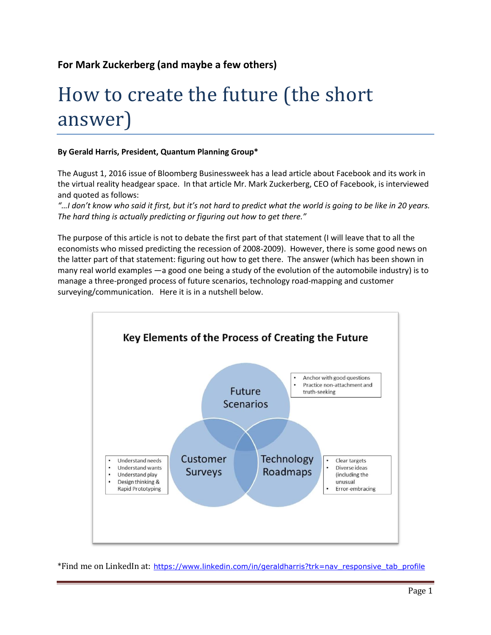## **For Mark Zuckerberg (and maybe a few others)**

## How to create the future (the short answer)

## **By Gerald Harris, President, Quantum Planning Group\***

The August 1, 2016 issue of Bloomberg Businessweek has a lead article about Facebook and its work in the virtual reality headgear space. In that article Mr. Mark Zuckerberg, CEO of Facebook, is interviewed and quoted as follows:

*"…I don't know who said it first, but it's not hard to predict what the world is going to be like in 20 years. The hard thing is actually predicting or figuring out how to get there."*

The purpose of this article is not to debate the first part of that statement (I will leave that to all the economists who missed predicting the recession of 2008-2009). However, there is some good news on the latter part of that statement: figuring out how to get there. The answer (which has been shown in many real world examples —a good one being a study of the evolution of the automobile industry) is to manage a three-pronged process of future scenarios, technology road-mapping and customer surveying/communication. Here it is in a nutshell below.



\*Find me on LinkedIn at: [https://www.linkedin.com/in/geraldharris?trk=nav\\_responsive\\_tab\\_profile](https://www.linkedin.com/in/geraldharris?trk=nav_responsive_tab_profile)